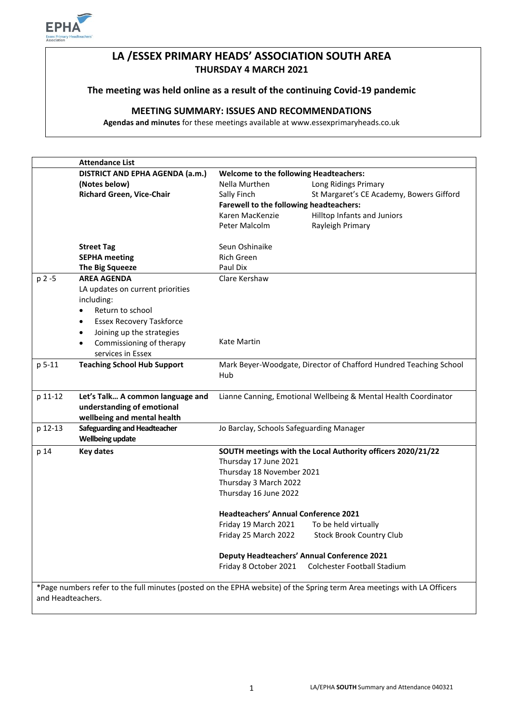

# **LA /ESSEX PRIMARY HEADS' ASSOCIATION SOUTH AREA THURSDAY 4 MARCH 2021**

# **The meeting was held online as a result of the continuing Covid-19 pandemic**

# **MEETING SUMMARY: ISSUES AND RECOMMENDATIONS**

**Agendas and minutes** for these meetings available at www.essexprimaryheads.co.uk

|                   | <b>Attendance List</b>                                                                  |                                                                   |                                                                                                                        |
|-------------------|-----------------------------------------------------------------------------------------|-------------------------------------------------------------------|------------------------------------------------------------------------------------------------------------------------|
|                   | <b>DISTRICT AND EPHA AGENDA (a.m.)</b><br><b>Welcome to the following Headteachers:</b> |                                                                   |                                                                                                                        |
|                   | (Notes below)                                                                           | Nella Murthen                                                     | Long Ridings Primary                                                                                                   |
|                   | <b>Richard Green, Vice-Chair</b>                                                        | Sally Finch                                                       | St Margaret's CE Academy, Bowers Gifford                                                                               |
|                   |                                                                                         | Farewell to the following headteachers:                           |                                                                                                                        |
|                   |                                                                                         | Karen MacKenzie                                                   | Hilltop Infants and Juniors                                                                                            |
|                   |                                                                                         | Peter Malcolm                                                     | Rayleigh Primary                                                                                                       |
|                   |                                                                                         |                                                                   |                                                                                                                        |
|                   | <b>Street Tag</b>                                                                       | Seun Oshinaike                                                    |                                                                                                                        |
|                   | <b>SEPHA</b> meeting                                                                    | <b>Rich Green</b>                                                 |                                                                                                                        |
|                   | The Big Squeeze                                                                         | Paul Dix                                                          |                                                                                                                        |
| p 2-5             | <b>AREA AGENDA</b>                                                                      | Clare Kershaw                                                     |                                                                                                                        |
|                   | LA updates on current priorities                                                        |                                                                   |                                                                                                                        |
|                   | including:                                                                              |                                                                   |                                                                                                                        |
|                   | Return to school<br>$\bullet$                                                           |                                                                   |                                                                                                                        |
|                   | <b>Essex Recovery Taskforce</b><br>$\bullet$                                            |                                                                   |                                                                                                                        |
|                   | Joining up the strategies<br>$\bullet$                                                  |                                                                   |                                                                                                                        |
|                   | Commissioning of therapy<br>$\bullet$                                                   | Kate Martin                                                       |                                                                                                                        |
|                   | services in Essex                                                                       |                                                                   |                                                                                                                        |
| p 5-11            | <b>Teaching School Hub Support</b>                                                      | Mark Beyer-Woodgate, Director of Chafford Hundred Teaching School |                                                                                                                        |
|                   |                                                                                         | Hub                                                               |                                                                                                                        |
|                   |                                                                                         |                                                                   |                                                                                                                        |
| p 11-12           | Let's Talk A common language and                                                        | Lianne Canning, Emotional Wellbeing & Mental Health Coordinator   |                                                                                                                        |
|                   | understanding of emotional                                                              |                                                                   |                                                                                                                        |
|                   | wellbeing and mental health                                                             |                                                                   |                                                                                                                        |
| p 12-13           | <b>Safeguarding and Headteacher</b>                                                     | Jo Barclay, Schools Safeguarding Manager                          |                                                                                                                        |
|                   | <b>Wellbeing update</b>                                                                 |                                                                   |                                                                                                                        |
| p 14              | <b>Key dates</b>                                                                        |                                                                   | SOUTH meetings with the Local Authority officers 2020/21/22                                                            |
|                   |                                                                                         | Thursday 17 June 2021                                             |                                                                                                                        |
|                   |                                                                                         | Thursday 18 November 2021                                         |                                                                                                                        |
|                   |                                                                                         | Thursday 3 March 2022                                             |                                                                                                                        |
|                   |                                                                                         | Thursday 16 June 2022                                             |                                                                                                                        |
|                   |                                                                                         | <b>Headteachers' Annual Conference 2021</b>                       |                                                                                                                        |
|                   |                                                                                         | Friday 19 March 2021                                              | To be held virtually                                                                                                   |
|                   |                                                                                         | Friday 25 March 2022                                              | <b>Stock Brook Country Club</b>                                                                                        |
|                   |                                                                                         |                                                                   |                                                                                                                        |
|                   |                                                                                         |                                                                   | Deputy Headteachers' Annual Conference 2021                                                                            |
|                   |                                                                                         | Friday 8 October 2021                                             | Colchester Football Stadium                                                                                            |
|                   |                                                                                         |                                                                   |                                                                                                                        |
|                   |                                                                                         |                                                                   | *Page numbers refer to the full minutes (posted on the EPHA website) of the Spring term Area meetings with LA Officers |
| and Headteachers. |                                                                                         |                                                                   |                                                                                                                        |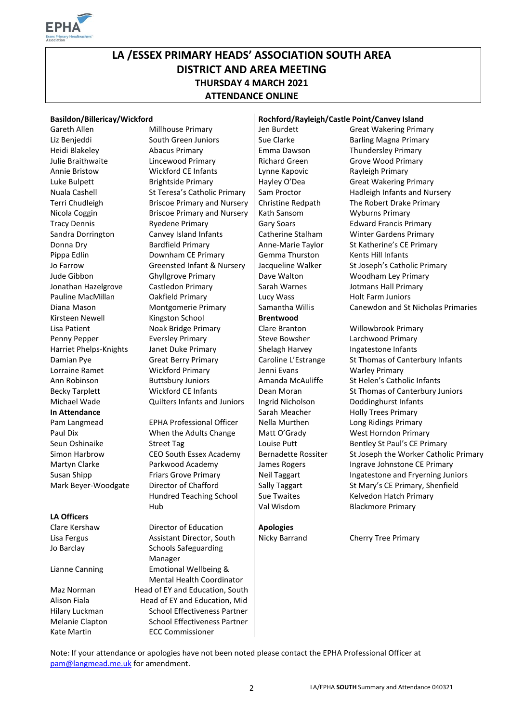

# **LA /ESSEX PRIMARY HEADS' ASSOCIATION SOUTH AREA DISTRICT AND AREA MEETING THURSDAY 4 MARCH 2021 ATTENDANCE ONLINE**

#### **Basildon/Billericay/Wickford Rochford/Rayleigh/Castle Point/Canvey Island**

**In Attendance Sarah Meacher** Holly Trees Primary

#### **LA Officers**

Annie Bristow **Wickford CE Infants** Lynne Kapovic Rayleigh Primary Luke Bulpett Brightside Primary Hayley O'Dea Great Wakering Primary Terri Chudleigh Briscoe Primary and Nursery Christine Redpath The Robert Drake Primary Nicola Coggin **Briscoe Primary and Nursery | Kath Sansom** Wyburns Primary Tracy Dennis Ryedene Primary Gary Soars Edward Francis Primary Sandra Dorrington Canvey Island Infants | Catherine Stalham Winter Gardens Primary Donna Dry **Bardfield Primary** Anne-Marie Taylor St Katherine's CE Primary Pippa Edlin **Downham CE Primary** Gemma Thurston Kents Hill Infants Jude Gibbon Ghyllgrove Primary **Dave Walton Woodham Ley Primary** Jonathan Hazelgrove Castledon Primary Sarah Warnes Jotmans Hall Primary Pauline MacMillan Cakfield Primary Lucy Wass Holt Farm Juniors Diana Mason Montgomerie Primary Samantha Willis Canewdon and St Nicholas Primaries Kirsteen Newell **Kingston School Brentwood** Lisa Patient **Noak Bridge Primary** | Clare Branton **Willowbrook Primary** Penny Pepper Eversley Primary Steve Bowsher Larchwood Primary Harriet Phelps-Knights Janet Duke Primary Shelagh Harvey Ingatestone Infants Lorraine Ramet **Wickford Primary** Jenni Evans Warley Primary Ann Robinson **Buttsbury Juniors** Amanda McAuliffe St Helen's Catholic Infants Michael Wade Quilters Infants and Juniors Ingrid Nicholson Doddinghurst Infants

Pam Langmead EPHA Professional Officer | Nella Murthen Long Ridings Primary Paul Dix **When the Adults Change** Matt O'Grady West Horndon Primary Mark Beyer-Woodgate Director of Chafford Hundred Teaching School Hub

Clare Kershaw Director of Education **Apologies** Lisa Fergus **Assistant Director, South** Nicky Barrand Cherry Tree Primary Jo Barclay Schools Safeguarding Manager Lianne Canning Emotional Wellbeing & Mental Health Coordinator Maz Norman Head of EY and Education, South Alison Fiala **Head of EY and Education**, Mid Hilary Luckman School Effectiveness Partner Melanie Clapton School Effectiveness Partner Kate Martin ECC Commissioner

Gareth Allen Millhouse Primary Jen Burdett Great Wakering Primary Liz Benjeddi South Green Juniors Sue Clarke Barling Magna Primary Heidi Blakeley Abacus Primary Emma Dawson Thundersley Primary Julie Braithwaite **Lincewood Primary Community** Richard Green Grove Wood Primary

Nuala Cashell St Teresa's Catholic Primary Sam Proctor Hadleigh Infants and Nursery Jo Farrow Greensted Infant & Nursery | Jacqueline Walker St Joseph's Catholic Primary

Damian Pye Great Berry Primary Caroline L'Estrange St Thomas of Canterbury Infants Becky Tarplett **Wickford CE Infants** Dean Moran St Thomas of Canterbury Juniors Seun Oshinaike Street Tag Louise Putt Bentley St Paul's CE Primary Simon Harbrow CEO South Essex Academy | Bernadette Rossiter St Joseph the Worker Catholic Primary Martyn Clarke **Parkwood Academy** James Rogers Ingrave Johnstone CE Primary Susan Shipp Friars Grove Primary Reil Taggart Ingatestone and Fryerning Juniors St Mary's CE Primary, Shenfield Kelvedon Hatch Primary Blackmore Primary

Sally Taggart Sue Twaites Val Wisdom

Note: If your attendance or apologies have not been noted please contact the EPHA Professional Officer at [pam@langmead.me.uk](mailto:pam@langmead.me.uk) for amendment.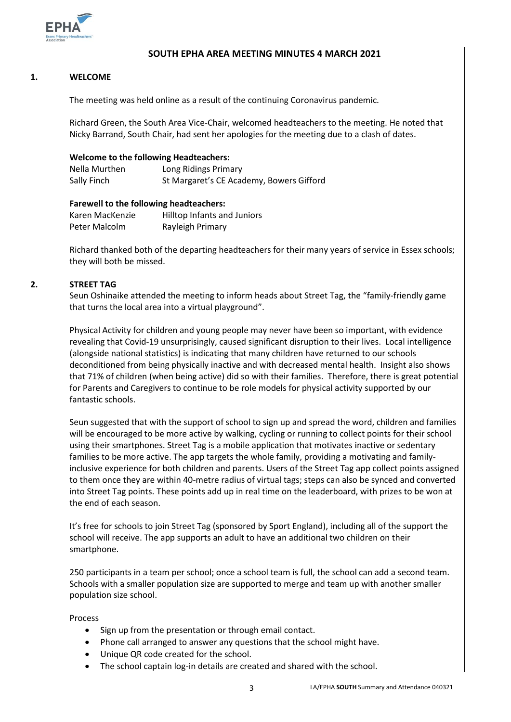

# **SOUTH EPHA AREA MEETING MINUTES 4 MARCH 2021**

### **1. WELCOME**

The meeting was held online as a result of the continuing Coronavirus pandemic.

Richard Green, the South Area Vice-Chair, welcomed headteachers to the meeting. He noted that Nicky Barrand, South Chair, had sent her apologies for the meeting due to a clash of dates.

### **Welcome to the following Headteachers:**

| Nella Murthen | Long Ridings Primary                     |
|---------------|------------------------------------------|
| Sally Finch   | St Margaret's CE Academy, Bowers Gifford |

### **Farewell to the following headteachers:**

| Karen MacKenzie | Hilltop Infants and Juniors |
|-----------------|-----------------------------|
| Peter Malcolm   | Rayleigh Primary            |

Richard thanked both of the departing headteachers for their many years of service in Essex schools; they will both be missed.

# **2. STREET TAG**

Seun Oshinaike attended the meeting to inform heads about Street Tag, the "family-friendly game that turns the local area into a virtual playground".

Physical Activity for children and young people may never have been so important, with evidence revealing that Covid-19 unsurprisingly, caused significant disruption to their lives. Local intelligence (alongside national statistics) is indicating that many children have returned to our schools deconditioned from being physically inactive and with decreased mental health. Insight also shows that 71% of children (when being active) did so with their families. Therefore, there is great potential for Parents and Caregivers to continue to be role models for physical activity supported by our fantastic schools.

Seun suggested that with the support of school to sign up and spread the word, children and families will be encouraged to be more active by walking, cycling or running to collect points for their school using their smartphones. Street Tag is a mobile application that motivates inactive or sedentary families to be more active. The app targets the whole family, providing a motivating and familyinclusive experience for both children and parents. Users of the Street Tag app collect points assigned to them once they are within 40-metre radius of virtual tags; steps can also be synced and converted into Street Tag points. These points add up in real time on the leaderboard, with prizes to be won at the end of each season.

It's free for schools to join Street Tag (sponsored by Sport England), including all of the support the school will receive. The app supports an adult to have an additional two children on their smartphone.

250 participants in a team per school; once a school team is full, the school can add a second team. Schools with a smaller population size are supported to merge and team up with another smaller population size school.

Process

- Sign up from the presentation or through email contact.
- Phone call arranged to answer any questions that the school might have.
- Unique QR code created for the school.
- The school captain log-in details are created and shared with the school.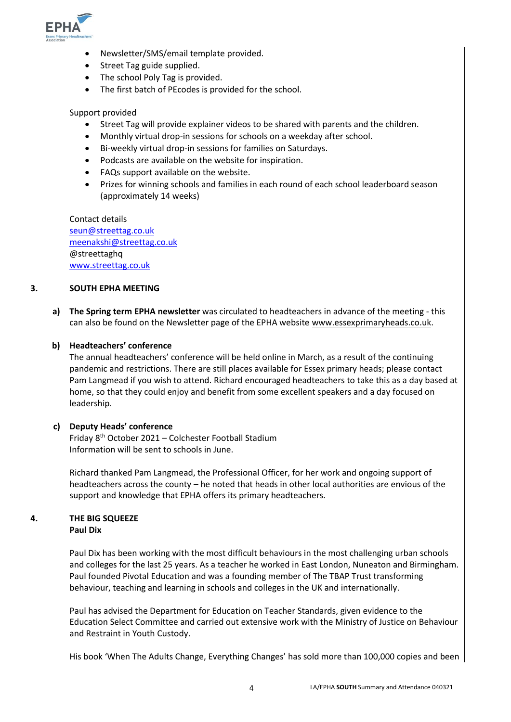

- Newsletter/SMS/email template provided.
- Street Tag guide supplied.
- The school Poly Tag is provided.
- The first batch of PEcodes is provided for the school.

#### Support provided

- Street Tag will provide explainer videos to be shared with parents and the children.
- Monthly virtual drop-in sessions for schools on a weekday after school.
- Bi-weekly virtual drop-in sessions for families on Saturdays.
- Podcasts are available on the website for inspiration.
- FAQs support available on the website.
- Prizes for winning schools and families in each round of each school leaderboard season (approximately 14 weeks)

Contact details [seun@streettag.co.uk](mailto:seun@streettag.co.uk) [meenakshi@streettag.co.uk](mailto:meenakshi@streettag.co.uk) @streettaghq [www.streettag.co.uk](http://www.streettag.co.uk/)

#### **3. SOUTH EPHA MEETING**

**a) The Spring term EPHA newsletter** was circulated to headteachers in advance of the meeting - this can also be found on the Newsletter page of the EPHA website [www.essexprimaryheads.co.uk.](http://www.essexprimaryheads.co.uk/)

# **b) Headteachers' conference**

The annual headteachers' conference will be held online in March, as a result of the continuing pandemic and restrictions. There are still places available for Essex primary heads; please contact Pam Langmead if you wish to attend. Richard encouraged headteachers to take this as a day based at home, so that they could enjoy and benefit from some excellent speakers and a day focused on leadership.

#### **c) Deputy Heads' conference**

Friday 8th October 2021 – Colchester Football Stadium Information will be sent to schools in June.

Richard thanked Pam Langmead, the Professional Officer, for her work and ongoing support of headteachers across the county – he noted that heads in other local authorities are envious of the support and knowledge that EPHA offers its primary headteachers.

# **4. THE BIG SQUEEZE Paul Dix**

Paul Dix has been working with the most difficult behaviours in the most challenging urban schools and colleges for the last 25 years. As a teacher he worked in East London, Nuneaton and Birmingham. Paul founded Pivotal Education and was a founding member of The TBAP Trust transforming behaviour, teaching and learning in schools and colleges in the UK and internationally.

Paul has advised the Department for Education on Teacher Standards, given evidence to the Education Select Committee and carried out extensive work with the Ministry of Justice on Behaviour and Restraint in Youth Custody.

His book 'When The Adults Change, Everything Changes' has sold more than 100,000 copies and been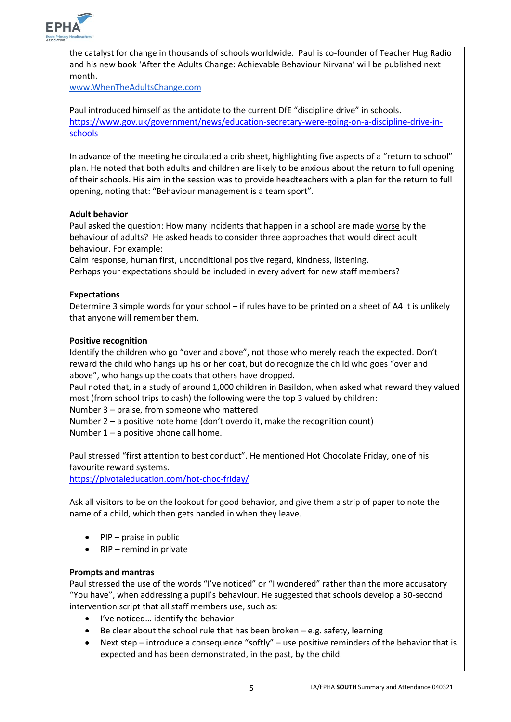

the catalyst for change in thousands of schools worldwide. Paul is co-founder of Teacher Hug Radio and his new book 'After the Adults Change: Achievable Behaviour Nirvana' will be published next month.

[www.WhenTheAdultsChange.com](http://www.whentheadultschange.com/)

Paul introduced himself as the antidote to the current DfE "discipline drive" in schools. [https://www.gov.uk/government/news/education-secretary-were-going-on-a-discipline-drive-in](https://www.gov.uk/government/news/education-secretary-were-going-on-a-discipline-drive-in-schools)[schools](https://www.gov.uk/government/news/education-secretary-were-going-on-a-discipline-drive-in-schools)

In advance of the meeting he circulated a crib sheet, highlighting five aspects of a "return to school" plan. He noted that both adults and children are likely to be anxious about the return to full opening of their schools. His aim in the session was to provide headteachers with a plan for the return to full opening, noting that: "Behaviour management is a team sport".

# **Adult behavior**

Paul asked the question: How many incidents that happen in a school are made worse by the behaviour of adults? He asked heads to consider three approaches that would direct adult behaviour. For example:

Calm response, human first, unconditional positive regard, kindness, listening. Perhaps your expectations should be included in every advert for new staff members?

# **Expectations**

Determine 3 simple words for your school – if rules have to be printed on a sheet of A4 it is unlikely that anyone will remember them.

#### **Positive recognition**

Identify the children who go "over and above", not those who merely reach the expected. Don't reward the child who hangs up his or her coat, but do recognize the child who goes "over and above", who hangs up the coats that others have dropped.

Paul noted that, in a study of around 1,000 children in Basildon, when asked what reward they valued most (from school trips to cash) the following were the top 3 valued by children:

Number 3 – praise, from someone who mattered

Number 2 – a positive note home (don't overdo it, make the recognition count) Number 1 – a positive phone call home.

Paul stressed "first attention to best conduct". He mentioned Hot Chocolate Friday, one of his favourite reward systems.

<https://pivotaleducation.com/hot-choc-friday/>

Ask all visitors to be on the lookout for good behavior, and give them a strip of paper to note the name of a child, which then gets handed in when they leave.

- PIP praise in public
- $\bullet$  RIP remind in private

#### **Prompts and mantras**

Paul stressed the use of the words "I've noticed" or "I wondered" rather than the more accusatory "You have", when addressing a pupil's behaviour. He suggested that schools develop a 30-second intervention script that all staff members use, such as:

- I've noticed... identify the behavior
- Be clear about the school rule that has been broken e.g. safety, learning
- Next step introduce a consequence "softly" use positive reminders of the behavior that is expected and has been demonstrated, in the past, by the child.